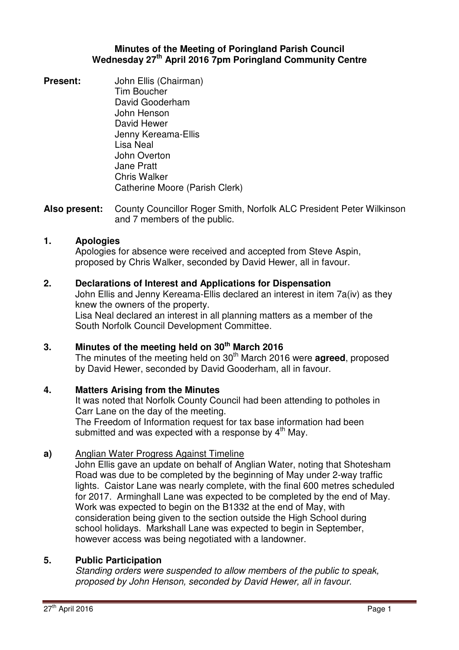## **Minutes of the Meeting of Poringland Parish Council Wednesday 27th April 2016 7pm Poringland Community Centre**

**Present:** John Ellis (Chairman) Tim Boucher David Gooderham John Henson David Hewer Jenny Kereama-Ellis Lisa Neal John Overton Jane Pratt Chris Walker Catherine Moore (Parish Clerk)

**Also present:** County Councillor Roger Smith, Norfolk ALC President Peter Wilkinson and 7 members of the public.

## **1. Apologies**

Apologies for absence were received and accepted from Steve Aspin, proposed by Chris Walker, seconded by David Hewer, all in favour.

## **2. Declarations of Interest and Applications for Dispensation**

John Ellis and Jenny Kereama-Ellis declared an interest in item 7a(iv) as they knew the owners of the property. Lisa Neal declared an interest in all planning matters as a member of the South Norfolk Council Development Committee.

# **3. Minutes of the meeting held on 30th March 2016**

The minutes of the meeting held on 30<sup>th</sup> March 2016 were **agreed**, proposed by David Hewer, seconded by David Gooderham, all in favour.

#### **4. Matters Arising from the Minutes**

It was noted that Norfolk County Council had been attending to potholes in Carr Lane on the day of the meeting.

The Freedom of Information request for tax base information had been submitted and was expected with a response by 4<sup>th</sup> May.

#### **a)**  Anglian Water Progress Against Timeline

John Ellis gave an update on behalf of Anglian Water, noting that Shotesham Road was due to be completed by the beginning of May under 2-way traffic lights. Caistor Lane was nearly complete, with the final 600 metres scheduled for 2017. Arminghall Lane was expected to be completed by the end of May. Work was expected to begin on the B1332 at the end of May, with consideration being given to the section outside the High School during school holidays. Markshall Lane was expected to begin in September, however access was being negotiated with a landowner.

### **5. Public Participation**

Standing orders were suspended to allow members of the public to speak, proposed by John Henson, seconded by David Hewer, all in favour.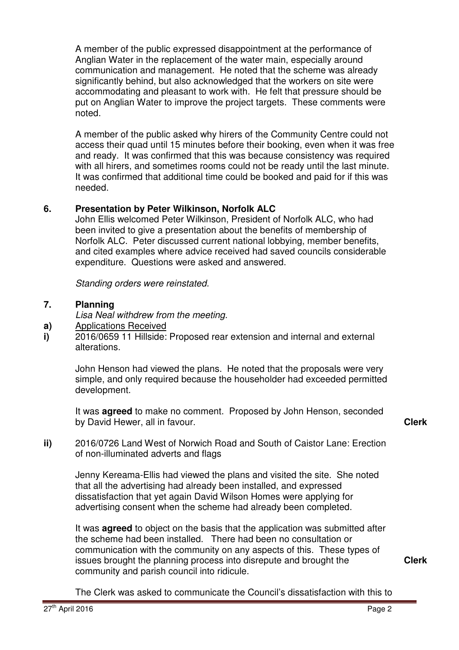A member of the public expressed disappointment at the performance of Anglian Water in the replacement of the water main, especially around communication and management. He noted that the scheme was already significantly behind, but also acknowledged that the workers on site were accommodating and pleasant to work with. He felt that pressure should be put on Anglian Water to improve the project targets. These comments were noted.

A member of the public asked why hirers of the Community Centre could not access their quad until 15 minutes before their booking, even when it was free and ready. It was confirmed that this was because consistency was required with all hirers, and sometimes rooms could not be ready until the last minute. It was confirmed that additional time could be booked and paid for if this was needed.

# **6. Presentation by Peter Wilkinson, Norfolk ALC**

John Ellis welcomed Peter Wilkinson, President of Norfolk ALC, who had been invited to give a presentation about the benefits of membership of Norfolk ALC. Peter discussed current national lobbying, member benefits, and cited examples where advice received had saved councils considerable expenditure. Questions were asked and answered.

Standing orders were reinstated.

#### **7. Planning**

Lisa Neal withdrew from the meeting.

- **a)**  Applications Received
- **i)**  2016/0659 11 Hillside: Proposed rear extension and internal and external alterations.

John Henson had viewed the plans. He noted that the proposals were very simple, and only required because the householder had exceeded permitted development.

It was **agreed** to make no comment. Proposed by John Henson, seconded by David Hewer, all in favour. **Clerk**

- 
- **ii)** 2016/0726 Land West of Norwich Road and South of Caistor Lane: Erection of non-illuminated adverts and flags

Jenny Kereama-Ellis had viewed the plans and visited the site. She noted that all the advertising had already been installed, and expressed dissatisfaction that yet again David Wilson Homes were applying for advertising consent when the scheme had already been completed.

It was **agreed** to object on the basis that the application was submitted after the scheme had been installed. There had been no consultation or communication with the community on any aspects of this. These types of issues brought the planning process into disrepute and brought the community and parish council into ridicule.

**Clerk**

The Clerk was asked to communicate the Council's dissatisfaction with this to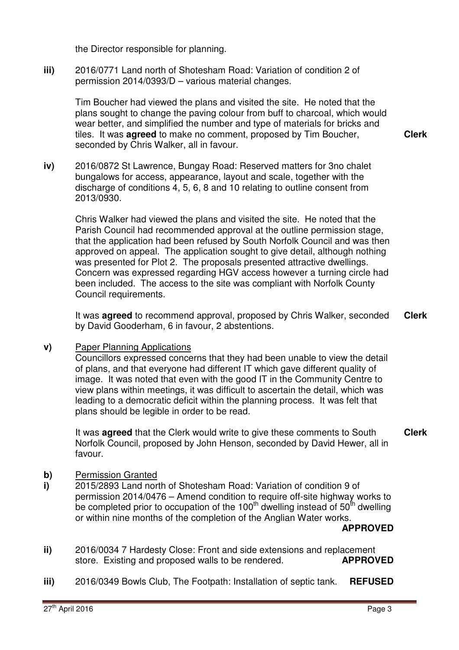the Director responsible for planning.

**iii)** 2016/0771 Land north of Shotesham Road: Variation of condition 2 of permission 2014/0393/D – various material changes.

Tim Boucher had viewed the plans and visited the site. He noted that the plans sought to change the paving colour from buff to charcoal, which would wear better, and simplified the number and type of materials for bricks and tiles. It was **agreed** to make no comment, proposed by Tim Boucher, seconded by Chris Walker, all in favour.

**iv)** 2016/0872 St Lawrence, Bungay Road: Reserved matters for 3no chalet bungalows for access, appearance, layout and scale, together with the discharge of conditions 4, 5, 6, 8 and 10 relating to outline consent from 2013/0930.

Chris Walker had viewed the plans and visited the site. He noted that the Parish Council had recommended approval at the outline permission stage, that the application had been refused by South Norfolk Council and was then approved on appeal. The application sought to give detail, although nothing was presented for Plot 2. The proposals presented attractive dwellings. Concern was expressed regarding HGV access however a turning circle had been included. The access to the site was compliant with Norfolk County Council requirements.

It was **agreed** to recommend approval, proposed by Chris Walker, seconded by David Gooderham, 6 in favour, 2 abstentions. **Clerk**

**v)** Paper Planning Applications

Councillors expressed concerns that they had been unable to view the detail of plans, and that everyone had different IT which gave different quality of image. It was noted that even with the good IT in the Community Centre to view plans within meetings, it was difficult to ascertain the detail, which was leading to a democratic deficit within the planning process. It was felt that plans should be legible in order to be read.

It was **agreed** that the Clerk would write to give these comments to South Norfolk Council, proposed by John Henson, seconded by David Hewer, all in favour. **Clerk**

- **b)** Permission Granted
- **i)**  2015/2893 Land north of Shotesham Road: Variation of condition 9 of permission 2014/0476 – Amend condition to require off-site highway works to be completed prior to occupation of the 100<sup>th</sup> dwelling instead of 50<sup>th</sup> dwelling or within nine months of the completion of the Anglian Water works.

#### **APPROVED**

- **ii)**  2016/0034 7 Hardesty Close: Front and side extensions and replacement store. Existing and proposed walls to be rendered. **APPROVED**
- **iii)**  2016/0349 Bowls Club, The Footpath: Installation of septic tank. **REFUSED**

**Clerk**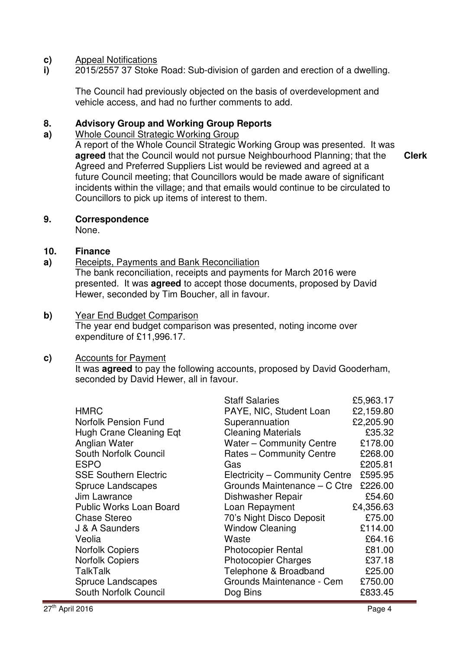#### **c)** Appeal Notifications

**i)**  2015/2557 37 Stoke Road: Sub-division of garden and erection of a dwelling.

The Council had previously objected on the basis of overdevelopment and vehicle access, and had no further comments to add.

#### **8. Advisory Group and Working Group Reports**

#### **a)**  Whole Council Strategic Working Group

A report of the Whole Council Strategic Working Group was presented. It was **agreed** that the Council would not pursue Neighbourhood Planning; that the Agreed and Preferred Suppliers List would be reviewed and agreed at a future Council meeting; that Councillors would be made aware of significant incidents within the village; and that emails would continue to be circulated to Councillors to pick up items of interest to them. **Clerk**

## **9. Correspondence**

None.

#### **10. Finance**

**a)**  Receipts, Payments and Bank Reconciliation

The bank reconciliation, receipts and payments for March 2016 were presented. It was **agreed** to accept those documents, proposed by David Hewer, seconded by Tim Boucher, all in favour.

#### **b)** Year End Budget Comparison

The year end budget comparison was presented, noting income over expenditure of £11,996.17.

### **c)** Accounts for Payment

It was **agreed** to pay the following accounts, proposed by David Gooderham, seconded by David Hewer, all in favour.

|                                | <b>Staff Salaries</b>          | £5,963.17 |
|--------------------------------|--------------------------------|-----------|
| <b>HMRC</b>                    | PAYE, NIC, Student Loan        | £2,159.80 |
| <b>Norfolk Pension Fund</b>    | Superannuation                 | £2,205.90 |
| <b>Hugh Crane Cleaning Eqt</b> | <b>Cleaning Materials</b>      | £35.32    |
| Anglian Water                  | Water - Community Centre       | £178.00   |
| South Norfolk Council          | Rates - Community Centre       | £268.00   |
| <b>ESPO</b>                    | Gas                            | £205.81   |
| <b>SSE Southern Electric</b>   | Electricity - Community Centre | £595.95   |
| <b>Spruce Landscapes</b>       | Grounds Maintenance - C Ctre   | £226.00   |
| Jim Lawrance                   | Dishwasher Repair              | £54.60    |
| <b>Public Works Loan Board</b> | Loan Repayment                 | £4,356.63 |
| <b>Chase Stereo</b>            | 70's Night Disco Deposit       | £75.00    |
| J & A Saunders                 | <b>Window Cleaning</b>         | £114.00   |
| Veolia                         | Waste                          | £64.16    |
| <b>Norfolk Copiers</b>         | <b>Photocopier Rental</b>      | £81.00    |
| <b>Norfolk Copiers</b>         | <b>Photocopier Charges</b>     | £37.18    |
| <b>TalkTalk</b>                | Telephone & Broadband          | £25.00    |
| <b>Spruce Landscapes</b>       | Grounds Maintenance - Cem      | £750.00   |
| South Norfolk Council          | Dog Bins                       | £833.45   |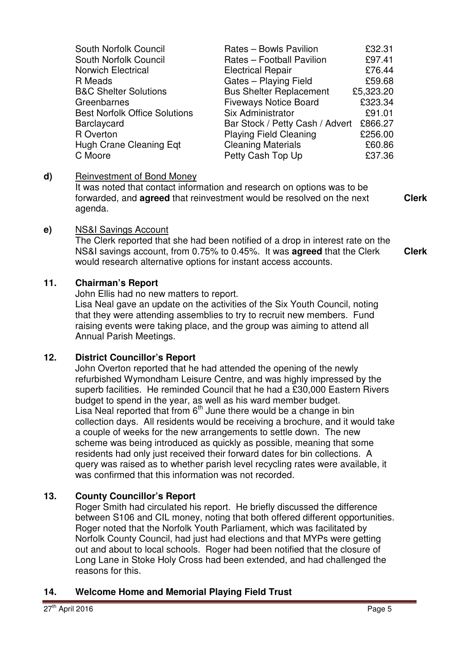| South Norfolk Council                | Rates - Bowls Pavilion          | £32.31    |
|--------------------------------------|---------------------------------|-----------|
| South Norfolk Council                | Rates - Football Pavilion       | £97.41    |
| <b>Norwich Electrical</b>            | <b>Electrical Repair</b>        | £76.44    |
| R Meads                              | Gates - Playing Field           | £59.68    |
| <b>B&amp;C Shelter Solutions</b>     | <b>Bus Shelter Replacement</b>  | £5,323.20 |
| Greenbarnes                          | <b>Fiveways Notice Board</b>    | £323.34   |
| <b>Best Norfolk Office Solutions</b> | Six Administrator               | £91.01    |
| Barclaycard                          | Bar Stock / Petty Cash / Advert | £866.27   |
| R Overton                            | <b>Playing Field Cleaning</b>   | £256.00   |
| Hugh Crane Cleaning Eqt              | <b>Cleaning Materials</b>       | £60.86    |
| C Moore                              | Petty Cash Top Up               | £37.36    |

### **d)** Reinvestment of Bond Money

It was noted that contact information and research on options was to be forwarded, and **agreed** that reinvestment would be resolved on the next agenda.

**Clerk**

## **e)** NS&I Savings Account

The Clerk reported that she had been notified of a drop in interest rate on the NS&I savings account, from 0.75% to 0.45%. It was **agreed** that the Clerk would research alternative options for instant access accounts. **Clerk**

# **11. Chairman's Report**

John Ellis had no new matters to report.

Lisa Neal gave an update on the activities of the Six Youth Council, noting that they were attending assemblies to try to recruit new members. Fund raising events were taking place, and the group was aiming to attend all Annual Parish Meetings.

### **12. District Councillor's Report**

John Overton reported that he had attended the opening of the newly refurbished Wymondham Leisure Centre, and was highly impressed by the superb facilities. He reminded Council that he had a £30,000 Eastern Rivers budget to spend in the year, as well as his ward member budget. Lisa Neal reported that from  $6<sup>th</sup>$  June there would be a change in bin collection days. All residents would be receiving a brochure, and it would take a couple of weeks for the new arrangements to settle down. The new scheme was being introduced as quickly as possible, meaning that some residents had only just received their forward dates for bin collections. A query was raised as to whether parish level recycling rates were available, it was confirmed that this information was not recorded.

# **13. County Councillor's Report**

Roger Smith had circulated his report. He briefly discussed the difference between S106 and CIL money, noting that both offered different opportunities. Roger noted that the Norfolk Youth Parliament, which was facilitated by Norfolk County Council, had just had elections and that MYPs were getting out and about to local schools. Roger had been notified that the closure of Long Lane in Stoke Holy Cross had been extended, and had challenged the reasons for this.

### **14. Welcome Home and Memorial Playing Field Trust**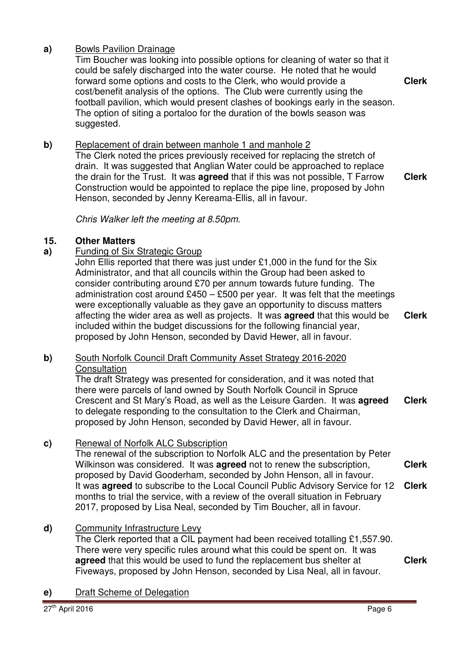# **a)** Bowls Pavilion Drainage

Tim Boucher was looking into possible options for cleaning of water so that it could be safely discharged into the water course. He noted that he would forward some options and costs to the Clerk, who would provide a cost/benefit analysis of the options. The Club were currently using the football pavilion, which would present clashes of bookings early in the season. The option of siting a portaloo for the duration of the bowls season was suggested. **Clerk**

# **b**) Replacement of drain between manhole 1 and manhole 2

The Clerk noted the prices previously received for replacing the stretch of drain. It was suggested that Anglian Water could be approached to replace the drain for the Trust. It was **agreed** that if this was not possible, T Farrow Construction would be appointed to replace the pipe line, proposed by John Henson, seconded by Jenny Kereama-Ellis, all in favour.

**Clerk**

## Chris Walker left the meeting at 8.50pm.

## **15. Other Matters**

## **a)** Funding of Six Strategic Group

John Ellis reported that there was just under £1,000 in the fund for the Six Administrator, and that all councils within the Group had been asked to consider contributing around £70 per annum towards future funding. The administration cost around  $£450 - £500$  per year. It was felt that the meetings were exceptionally valuable as they gave an opportunity to discuss matters affecting the wider area as well as projects. It was **agreed** that this would be included within the budget discussions for the following financial year, proposed by John Henson, seconded by David Hewer, all in favour.

## **b)** South Norfolk Council Draft Community Asset Strategy 2016-2020 Consultation

The draft Strategy was presented for consideration, and it was noted that there were parcels of land owned by South Norfolk Council in Spruce Crescent and St Mary's Road, as well as the Leisure Garden. It was **agreed** to delegate responding to the consultation to the Clerk and Chairman, proposed by John Henson, seconded by David Hewer, all in favour. **Clerk**

# **c)** Renewal of Norfolk ALC Subscription

The renewal of the subscription to Norfolk ALC and the presentation by Peter Wilkinson was considered. It was **agreed** not to renew the subscription, proposed by David Gooderham, seconded by John Henson, all in favour. It was **agreed** to subscribe to the Local Council Public Advisory Service for 12 months to trial the service, with a review of the overall situation in February 2017, proposed by Lisa Neal, seconded by Tim Boucher, all in favour. **Clerk Clerk**

### **d)** Community Infrastructure Levy

The Clerk reported that a CIL payment had been received totalling £1,557.90. There were very specific rules around what this could be spent on. It was **agreed** that this would be used to fund the replacement bus shelter at Fiveways, proposed by John Henson, seconded by Lisa Neal, all in favour.

**Clerk**

**e)** Draft Scheme of Delegation

**Clerk**